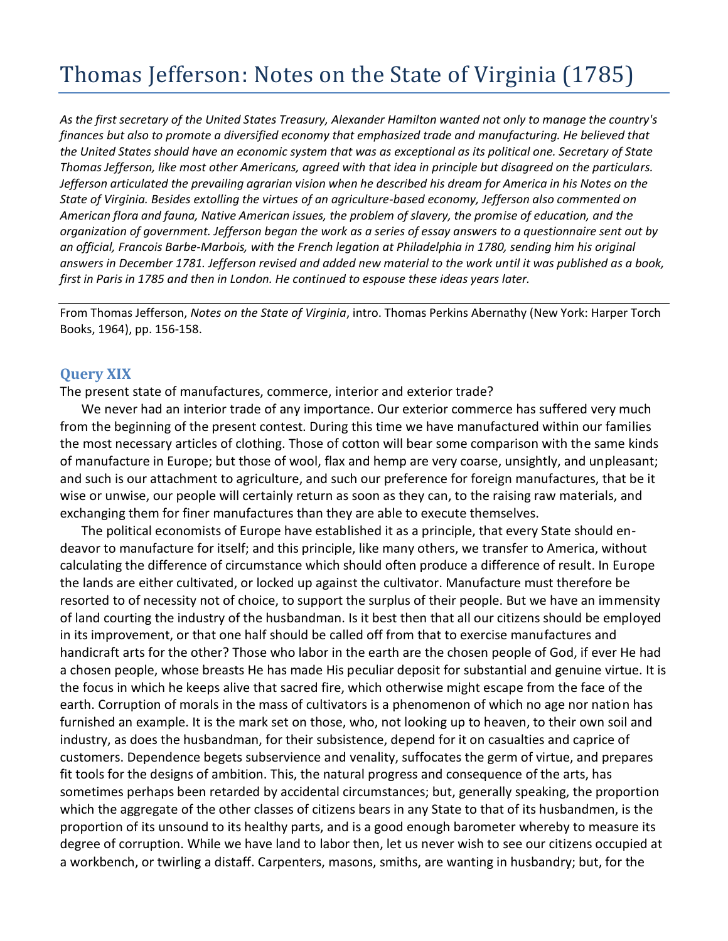## Thomas Jefferson: Notes on the State of Virginia (1785)

*As the first secretary of the United States Treasury, Alexander Hamilton wanted not only to manage the country's finances but also to promote a diversified economy that emphasized trade and manufacturing. He believed that the United States should have an economic system that was as exceptional as its political one. Secretary of State Thomas Jefferson, like most other Americans, agreed with that idea in principle but disagreed on the particulars. Jefferson articulated the prevailing agrarian vision when he described his dream for America in his Notes on the State of Virginia. Besides extolling the virtues of an agriculture-based economy, Jefferson also commented on American flora and fauna, Native American issues, the problem of slavery, the promise of education, and the organization of government. Jefferson began the work as a series of essay answers to a questionnaire sent out by an official, Francois Barbe-Marbois, with the French legation at Philadelphia in 1780, sending him his original answers in December 1781. Jefferson revised and added new material to the work until it was published as a book, first in Paris in 1785 and then in London. He continued to espouse these ideas years later.*

From Thomas Jefferson, *Notes on the State of Virginia*, intro. Thomas Perkins Abernathy (New York: Harper Torch Books, 1964), pp. 156-158.

## **Query XIX**

The present state of manufactures, commerce, interior and exterior trade?

We never had an interior trade of any importance. Our exterior commerce has suffered very much from the beginning of the present contest. During this time we have manufactured within our families the most necessary articles of clothing. Those of cotton will bear some comparison with the same kinds of manufacture in Europe; but those of wool, flax and hemp are very coarse, unsightly, and unpleasant; and such is our attachment to agriculture, and such our preference for foreign manufactures, that be it wise or unwise, our people will certainly return as soon as they can, to the raising raw materials, and exchanging them for finer manufactures than they are able to execute themselves.

The political economists of Europe have established it as a principle, that every State should endeavor to manufacture for itself; and this principle, like many others, we transfer to America, without calculating the difference of circumstance which should often produce a difference of result. In Europe the lands are either cultivated, or locked up against the cultivator. Manufacture must therefore be resorted to of necessity not of choice, to support the surplus of their people. But we have an immensity of land courting the industry of the husbandman. Is it best then that all our citizens should be employed in its improvement, or that one half should be called off from that to exercise manufactures and handicraft arts for the other? Those who labor in the earth are the chosen people of God, if ever He had a chosen people, whose breasts He has made His peculiar deposit for substantial and genuine virtue. It is the focus in which he keeps alive that sacred fire, which otherwise might escape from the face of the earth. Corruption of morals in the mass of cultivators is a phenomenon of which no age nor nation has furnished an example. It is the mark set on those, who, not looking up to heaven, to their own soil and industry, as does the husbandman, for their subsistence, depend for it on casualties and caprice of customers. Dependence begets subservience and venality, suffocates the germ of virtue, and prepares fit tools for the designs of ambition. This, the natural progress and consequence of the arts, has sometimes perhaps been retarded by accidental circumstances; but, generally speaking, the proportion which the aggregate of the other classes of citizens bears in any State to that of its husbandmen, is the proportion of its unsound to its healthy parts, and is a good enough barometer whereby to measure its degree of corruption. While we have land to labor then, let us never wish to see our citizens occupied at a workbench, or twirling a distaff. Carpenters, masons, smiths, are wanting in husbandry; but, for the